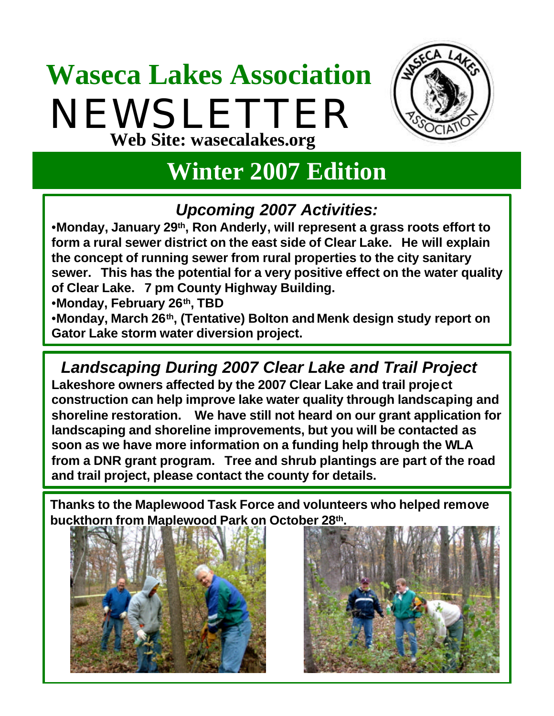# **Waseca Lakes Association** NEWSLETTER **Web Site: wasecalakes.org**



## **Winter 2007 Edition**

### *Upcoming 2007 Activities:*

•**Monday, January 29th, Ron Anderly, will represent a grass roots effort to form a rural sewer district on the east side of Clear Lake. He will explain the concept of running sewer from rural properties to the city sanitary sewer. This has the potential for a very positive effect on the water quality of Clear Lake. 7 pm County Highway Building.**

•**Monday, February 26th, TBD**

•**Monday, March 26th, (Tentative) Bolton and Menk design study report on Gator Lake storm water diversion project.** 

*Landscaping During 2007 Clear Lake and Trail Project*  **Lakeshore owners affected by the 2007 Clear Lake and trail project construction can help improve lake water quality through landscaping and shoreline restoration. We have still not heard on our grant application for landscaping and shoreline improvements, but you will be contacted as soon as we have more information on a funding help through the WLA from a DNR grant program. Tree and shrub plantings are part of the road and trail project, please contact the county for details.**

**Thanks to the Maplewood Task Force and volunteers who helped remove buckthorn from Maplewood Park on October 28th.**